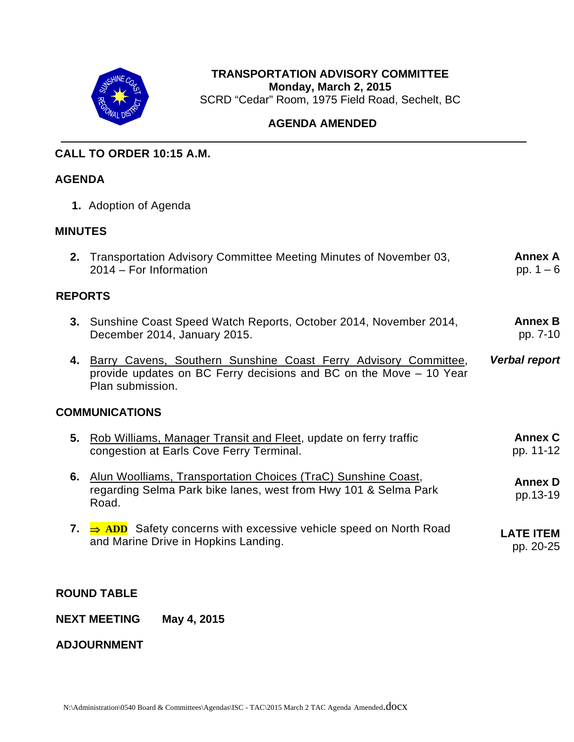

# **TRANSPORTATION ADVISORY COMMITTEE Monday, March 2, 2015**  SCRD "Cedar" Room, 1975 Field Road, Sechelt, BC

# **AGENDA AMENDED**

# **CALL TO ORDER 10:15 A.M.**

## **AGENDA**

**1.** Adoption of Agenda

### **MINUTES**

|                       | 2. Transportation Advisory Committee Meeting Minutes of November 03,<br>2014 – For Information                                                                                       | <b>Annex A</b><br>pp. $1 - 6$ |  |  |
|-----------------------|--------------------------------------------------------------------------------------------------------------------------------------------------------------------------------------|-------------------------------|--|--|
| <b>REPORTS</b>        |                                                                                                                                                                                      |                               |  |  |
|                       | <b>3.</b> Sunshine Coast Speed Watch Reports, October 2014, November 2014,<br>December 2014, January 2015.                                                                           | <b>Annex B</b><br>pp. 7-10    |  |  |
|                       | 4. Barry Cavens, Southern Sunshine Coast Ferry Advisory Committee,<br><b>Verbal report</b><br>provide updates on BC Ferry decisions and BC on the Move – 10 Year<br>Plan submission. |                               |  |  |
| <b>COMMUNICATIONS</b> |                                                                                                                                                                                      |                               |  |  |
|                       | 5. Rob Williams, Manager Transit and Fleet, update on ferry traffic<br>congestion at Earls Cove Ferry Terminal.                                                                      | <b>Annex C</b><br>pp. 11-12   |  |  |
|                       | 6. Alun Woolliams, Transportation Choices (TraC) Sunshine Coast,<br>regarding Selma Park bike lanes, west from Hwy 101 & Selma Park<br>Road.                                         | <b>Annex D</b><br>pp.13-19    |  |  |
|                       | 7. $\Rightarrow$ ADD Safety concerns with excessive vehicle speed on North Road<br>and Marine Drive in Hopkins Landing.                                                              | <b>LATE ITEM</b><br>pp. 20-25 |  |  |

### **ROUND TABLE**

**NEXT MEETING May 4, 2015** 

**ADJOURNMENT**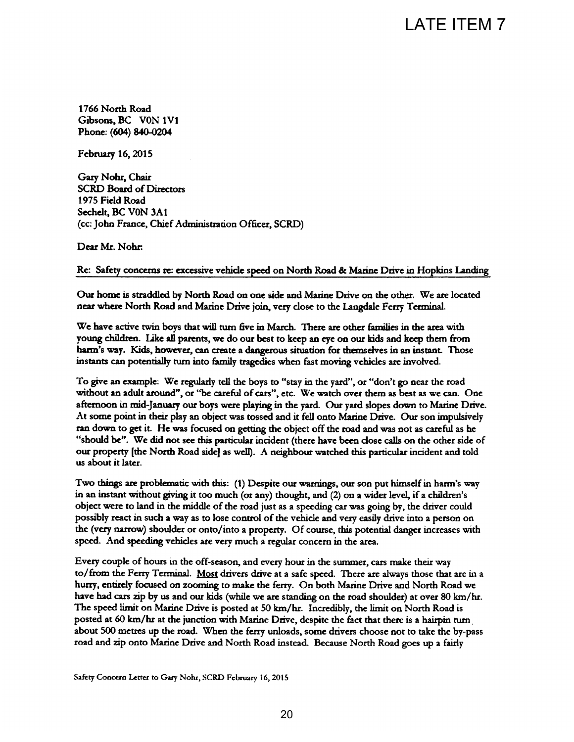1766 North Road Gibsons, BC V0N 1V1 Phone: (604) 840-0204

February 16, 2015

Gary Nohr, Chair **SCRD Board of Directors** 1975 Field Road Sechelt, BC V0N 3A1

Dear Mr. Nohr.

LATE ITEM 7<br>
CRD)<br>
20 North Road & Matine Drive in Hopkins Landing<br>
21 and Matine Drive on the other. We are located<br>
21 ay dose to the Langdale Ferry Terminal.<br>
22 are other families in the area with<br>
22 are other are ot us about it later.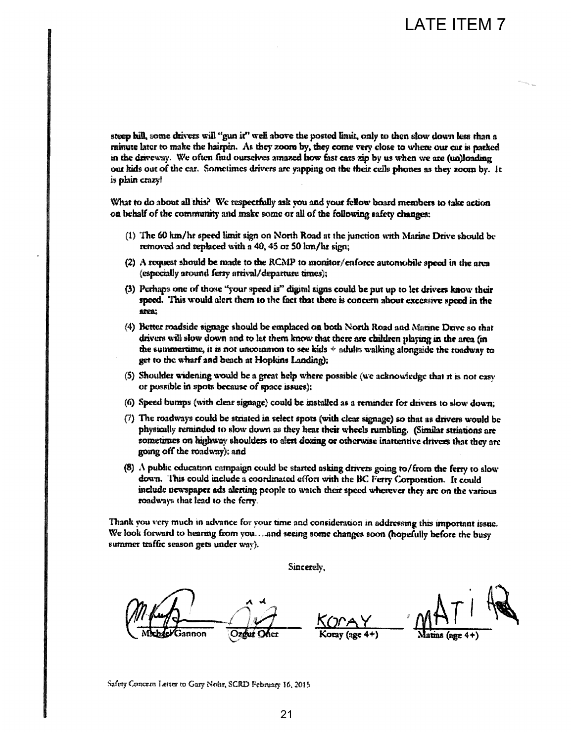is phin crazy!

- 
- 
- arca:
- 
- 
- 
- going off the roadway); and
- roadways that lead to the ferry.

summer traffic season gets under way).

LATE ITEM 7<br>
Denote the posted limit, only to then show down less than a<br>
non by, they come very close to where our car is pathed<br>
maze there we are unitary that we are in pathed<br>
maze the popular discussion by the stars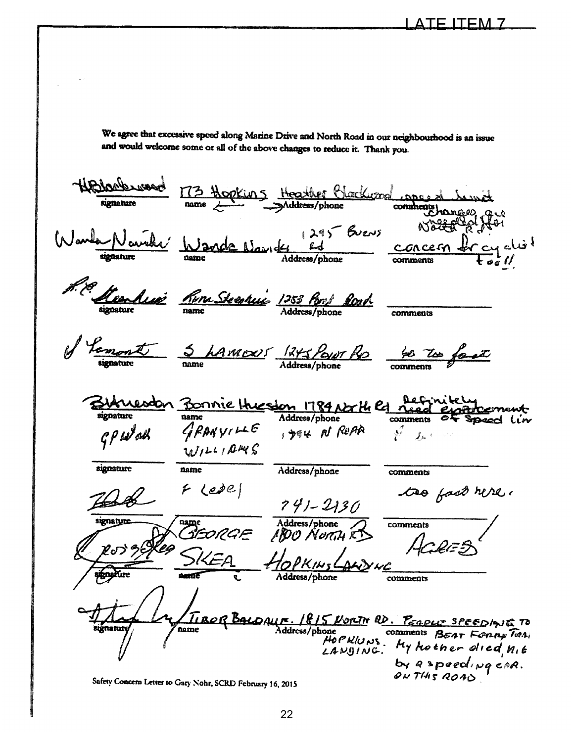Directed North Road in our neighbourhood is an issue<br>
therefore and North Road in our neighbourhood is an issue<br>
Herebylies  $\frac{(1-x)^{n}y^{n}y^{n}}{x^{n}}$ <br>  $\frac{(1-x)^{n}y^{n}}{x^{n}}$ <br>  $\frac{y^{n}y^{n}}{x^{n}}$ <br>  $\frac{y^{n}y^{n}}{x^{n}}$ <br>  $\frac{y^{n}y$ <u>Navelia</u> Lamont GP Wall WILLIAMS signature name  $F$  Ledel DEORGE signature ugnature name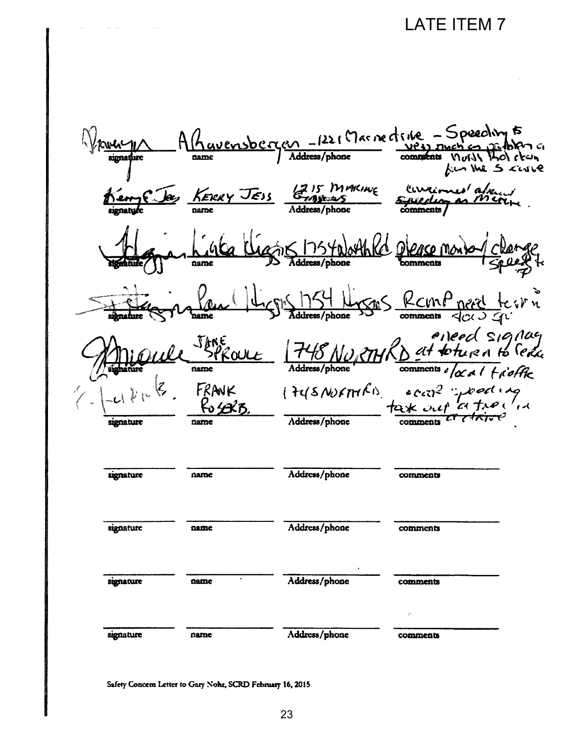# **LATE ITEM 7**

Ravensbergen - 1221 Marine d'rice - Speeching to  $\bigcap G$ הביא ג'ז בייז Kan the 5 case KERRY JESS Grassemes Euvernes'alment Sis 1754 North Kd  $n$ ame mments asses Roman perd terri Les Montes / phone Areal Signay<br>SPROULE 748 NURTHRD at toture a to Sexue<br>and Address/phone comments of a al trioffe ( FUSNUFTHEI) eccal speed ing FRANK signature signature Address/phone name comments signature Address/phone name comments signature name Address/phone comments Address/phone name signature comments

Safety Concern Letter to Gary Nohr, SCRD February 16, 2015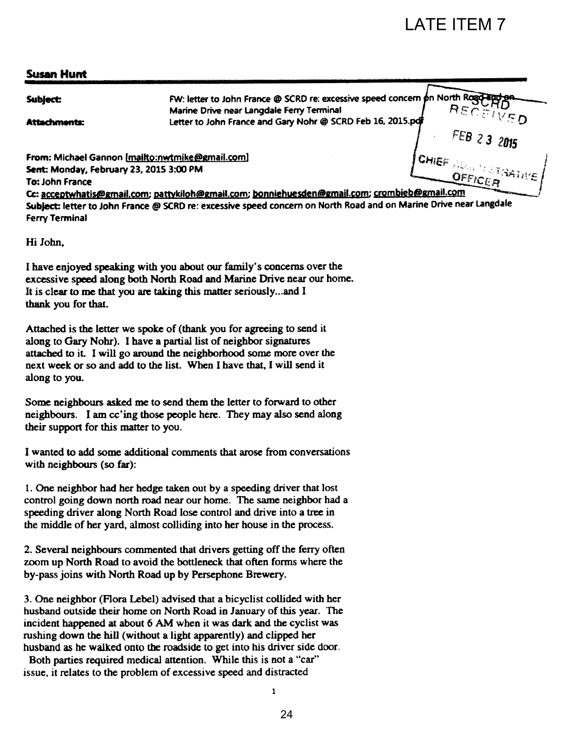### Susan Hunt

|                                         |                                                                                                                                                                                                                                                                                                                                                                                                                                                                                                                         |    | <b>LATE ITEM 7</b>          |
|-----------------------------------------|-------------------------------------------------------------------------------------------------------------------------------------------------------------------------------------------------------------------------------------------------------------------------------------------------------------------------------------------------------------------------------------------------------------------------------------------------------------------------------------------------------------------------|----|-----------------------------|
|                                         |                                                                                                                                                                                                                                                                                                                                                                                                                                                                                                                         |    |                             |
| <b>Susan Hunt</b>                       |                                                                                                                                                                                                                                                                                                                                                                                                                                                                                                                         |    |                             |
| <b>Subject:</b>                         | FW: letter to John France @ SCRD re: excessive speed concern on North Rogo                                                                                                                                                                                                                                                                                                                                                                                                                                              |    |                             |
| <b>Attachments:</b>                     | Marine Drive near Langdale Ferry Terminal<br>Letter to John France and Gary Nohr @ SCRD Feb 16, 2015.pdf                                                                                                                                                                                                                                                                                                                                                                                                                |    | RECEIVED                    |
| Sent: Monday, February 23, 2015 3:00 PM | From: Michael Gannon [mailto:nwtmike@gmail.com]                                                                                                                                                                                                                                                                                                                                                                                                                                                                         |    | <b>CHIEF ADAM REPARTING</b> |
| To: John France                         | Cc: acceptwhatis@gmail.com; pattykiloh@gmail.com; bonniehuesden@gmail.com; crombieb@gmail.com                                                                                                                                                                                                                                                                                                                                                                                                                           |    | OFFICER                     |
| <b>Ferry Terminal</b>                   | Subject: letter to John France @ SCRD re: excessive speed concern on North Road and on Marine Drive near Langdale                                                                                                                                                                                                                                                                                                                                                                                                       |    |                             |
| Hi John,                                |                                                                                                                                                                                                                                                                                                                                                                                                                                                                                                                         |    |                             |
| thank you for that.                     | I have enjoyed speaking with you about our family's concerns over the<br>excessive speed along both North Road and Marine Drive near our home.<br>It is clear to me that you are taking this matter seriouslyand I                                                                                                                                                                                                                                                                                                      |    |                             |
| along to you.                           | Attached is the letter we spoke of (thank you for agreeing to send it<br>along to Gary Nohr). I have a partial list of neighbor signatures<br>attached to it. I will go around the neighborhood some more over the<br>next week or so and add to the list. When I have that, I will send it                                                                                                                                                                                                                             |    |                             |
| their support for this matter to you.   | Some neighbours asked me to send them the letter to forward to other<br>neighbours. I am cc'ing those people here. They may also send along                                                                                                                                                                                                                                                                                                                                                                             |    |                             |
| with neighbours (so far):               | I wanted to add some additional comments that arose from conversations                                                                                                                                                                                                                                                                                                                                                                                                                                                  |    |                             |
|                                         | 1. One neighbor had her hedge taken out by a speeding driver that lost<br>control going down north road near our home. The same neighbor had a<br>speeding driver along North Road lose control and drive into a tree in<br>the middle of her yard, almost colliding into her house in the process.                                                                                                                                                                                                                     |    |                             |
|                                         | 2. Several neighbours commented that drivers getting off the ferry often<br>zoom up North Road to avoid the bottleneck that often forms where the<br>by-pass joins with North Road up by Persephone Brewery.                                                                                                                                                                                                                                                                                                            |    |                             |
|                                         | 3. One neighbor (Flora Lebel) advised that a bicyclist collided with her<br>husband outside their home on North Road in January of this year. The<br>incident happened at about 6 AM when it was dark and the cyclist was<br>rushing down the hill (without a light apparently) and clipped her<br>husband as he walked onto the roadside to get into his driver side door.<br>Both parties required medical attention. While this is not a "car"<br>issue, it relates to the problem of excessive speed and distracted |    |                             |
|                                         | 1                                                                                                                                                                                                                                                                                                                                                                                                                                                                                                                       |    |                             |
|                                         |                                                                                                                                                                                                                                                                                                                                                                                                                                                                                                                         | 24 |                             |